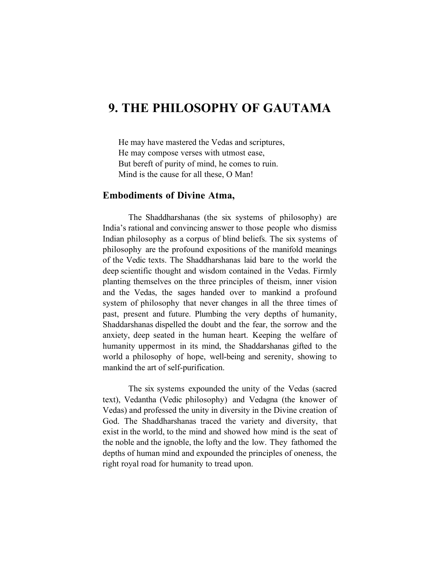# 9. THE PHILOSOPHY OF GAUTAMA

He may have mastered the Vedas and scriptures, He may compose verses with utmost ease, But bereft of purity of mind, he comes to ruin. Mind is the cause for all these, O Man!

# Embodiments of Divine Atma,

The Shaddharshanas (the six systems of philosophy) are India's rational and convincing answer to those people who dismiss Indian philosophy as a corpus of blind beliefs. The six systems of philosophy are the profound expositions of the manifold meanings of the Vedic texts. The Shaddharshanas laid bare to the world the deep scientific thought and wisdom contained in the Vedas. Firmly planting themselves on the three principles of theism, inner vision and the Vedas, the sages handed over to mankind a profound system of philosophy that never changes in all the three times of past, present and future. Plumbing the very depths of humanity, Shaddarshanas dispelled the doubt and the fear, the sorrow and the anxiety, deep seated in the human heart. Keeping the welfare of humanity uppermost in its mind, the Shaddarshanas gifted to the world a philosophy of hope, well-being and serenity, showing to mankind the art of self-purification.

The six systems expounded the unity of the Vedas (sacred text), Vedantha (Vedic philosophy) and Vedagna (the knower of Vedas) and professed the unity in diversity in the Divine creation of God. The Shaddharshanas traced the variety and diversity, that exist in the world, to the mind and showed how mind is the seat of the noble and the ignoble, the lofty and the low. They fathomed the depths of human mind and expounded the principles of oneness, the right royal road for humanity to tread upon.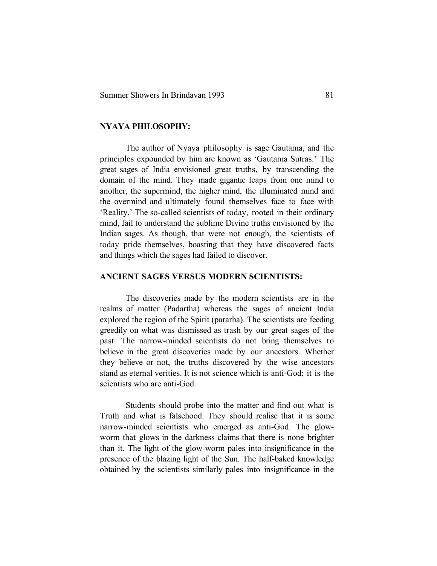#### NYAYA PHILOSOPHY:

The author of Nyaya philosophy is sage Gautama, and the principles expounded by him are known as 'Gautama Sutras.' The great sages of India envisioned great truths, by transcending the domain of the mind. They made gigantic leaps from one mind to another, the supermind, the higher mind, the illuminated mind and the overmind and ultimately found themselves face to face with 'Reality.' The so-called scientists of today, rooted in their ordinary mind, fail to understand the sublime Divine truths envisioned by the Indian sages. As though, that were not enough, the scientists of today pride themselves, boasting that they have discovered facts and things which the sages had failed to discover.

#### ANCIENT SAGES VERSUS MODERN SCIENTISTS:

The discoveries made by the modern scientists are in the realms of matter (Padartha) whereas the sages of ancient India explored the region of the Spirit (pararha). The scientists are feeding greedily on what was dismissed as trash by our great sages of the past. The narrow-minded scientists do not bring themselves to believe in the great discoveries made by our ancestors. Whether they believe or not, the truths discovered by the wise ancestors stand as eternal verities. It is not science which is anti-God; it is the scientists who are anti-God.

Students should probe into the matter and find out what is Truth and what is falsehood. They should realise that it is some narrow-minded scientists who emerged as anti-God. The glowworm that glows in the darkness claims that there is none brighter than it. The light of the glow-worm pales into insignificance in the presence of the blazing light of the Sun. The half-baked knowledge obtained by the scientists similarly pales into insignificance in the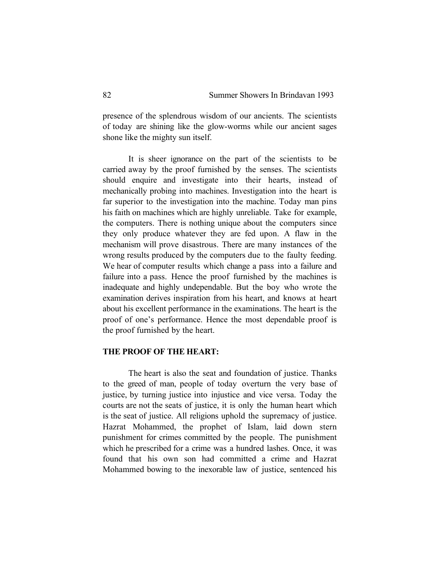presence of the splendrous wisdom of our ancients. The scientists of today are shining like the glow-worms while our ancient sages shone like the mighty sun itself.

It is sheer ignorance on the part of the scientists to be carried away by the proof furnished by the senses. The scientists should enquire and investigate into their hearts, instead of mechanically probing into machines. Investigation into the heart is far superior to the investigation into the machine. Today man pins his faith on machines which are highly unreliable. Take for example, the computers. There is nothing unique about the computers since they only produce whatever they are fed upon. A flaw in the mechanism will prove disastrous. There are many instances of the wrong results produced by the computers due to the faulty feeding. We hear of computer results which change a pass into a failure and failure into a pass. Hence the proof furnished by the machines is inadequate and highly undependable. But the boy who wrote the examination derives inspiration from his heart, and knows at heart about his excellent performance in the examinations. The heart is the proof of one's performance. Hence the most dependable proof is the proof furnished by the heart.

## THE PROOF OF THE HEART:

The heart is also the seat and foundation of justice. Thanks to the greed of man, people of today overturn the very base of justice, by turning justice into injustice and vice versa. Today the courts are not the seats of justice, it is only the human heart which is the seat of justice. All religions uphold the supremacy of justice. Hazrat Mohammed, the prophet of Islam, laid down stern punishment for crimes committed by the people. The punishment which he prescribed for a crime was a hundred lashes. Once, it was found that his own son had committed a crime and Hazrat Mohammed bowing to the inexorable law of justice, sentenced his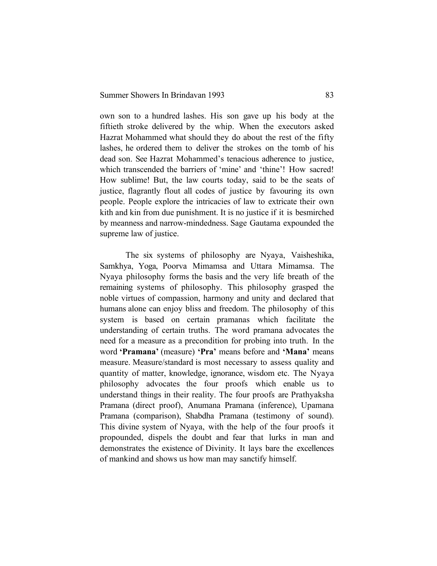own son to a hundred lashes. His son gave up his body at the fiftieth stroke delivered by the whip. When the executors asked Hazrat Mohammed what should they do about the rest of the fifty lashes, he ordered them to deliver the strokes on the tomb of his dead son. See Hazrat Mohammed's tenacious adherence to justice, which transcended the barriers of 'mine' and 'thine'! How sacred! How sublime! But, the law courts today, said to be the seats of justice, flagrantly flout all codes of justice by favouring its own people. People explore the intricacies of law to extricate their own kith and kin from due punishment. It is no justice if it is besmirched by meanness and narrow-mindedness. Sage Gautama expounded the supreme law of justice.

The six systems of philosophy are Nyaya, Vaisheshika, Samkhya, Yoga, Poorva Mimamsa and Uttara Mimamsa. The Nyaya philosophy forms the basis and the very life breath of the remaining systems of philosophy. This philosophy grasped the noble virtues of compassion, harmony and unity and declared that humans alone can enjoy bliss and freedom. The philosophy of this system is based on certain pramanas which facilitate the understanding of certain truths. The word pramana advocates the need for a measure as a precondition for probing into truth. In the word 'Pramana' (measure) 'Pra' means before and 'Mana' means measure. Measure/standard is most necessary to assess quality and quantity of matter, knowledge, ignorance, wisdom etc. The Nyaya philosophy advocates the four proofs which enable us to understand things in their reality. The four proofs are Prathyaksha Pramana (direct proof), Anumana Pramana (inference), Upamana Pramana (comparison), Shabdha Pramana (testimony of sound). This divine system of Nyaya, with the help of the four proofs it propounded, dispels the doubt and fear that lurks in man and demonstrates the existence of Divinity. It lays bare the excellences of mankind and shows us how man may sanctify himself.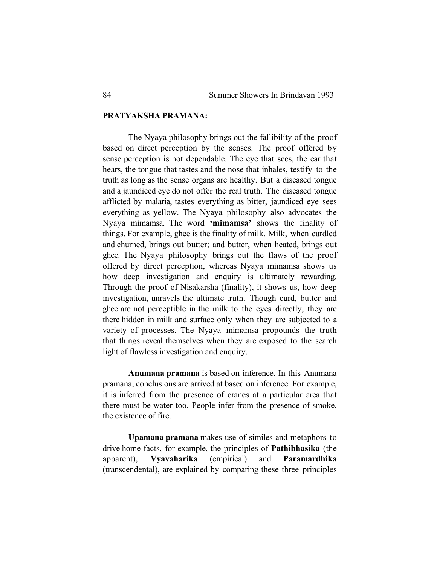## PRATYAKSHA PRAMANA:

The Nyaya philosophy brings out the fallibility of the proof based on direct perception by the senses. The proof offered by sense perception is not dependable. The eye that sees, the ear that hears, the tongue that tastes and the nose that inhales, testify to the truth as long as the sense organs are healthy. But a diseased tongue and a jaundiced eye do not offer the real truth. The diseased tongue afflicted by malaria, tastes everything as bitter, jaundiced eye sees everything as yellow. The Nyaya philosophy also advocates the Nyaya mimamsa. The word 'mimamsa' shows the finality of things. For example, ghee is the finality of milk. Milk, when curdled and churned, brings out butter; and butter, when heated, brings out ghee. The Nyaya philosophy brings out the flaws of the proof offered by direct perception, whereas Nyaya mimamsa shows us how deep investigation and enquiry is ultimately rewarding. Through the proof of Nisakarsha (finality), it shows us, how deep investigation, unravels the ultimate truth. Though curd, butter and ghee are not perceptible in the milk to the eyes directly, they are there hidden in milk and surface only when they are subjected to a variety of processes. The Nyaya mimamsa propounds the truth that things reveal themselves when they are exposed to the search light of flawless investigation and enquiry.

Anumana pramana is based on inference. In this Anumana pramana, conclusions are arrived at based on inference. For example, it is inferred from the presence of cranes at a particular area that there must be water too. People infer from the presence of smoke, the existence of fire.

Upamana pramana makes use of similes and metaphors to drive home facts, for example, the principles of Pathibhasika (the apparent), Vyavaharika (empirical) and Paramardhika (transcendental), are explained by comparing these three principles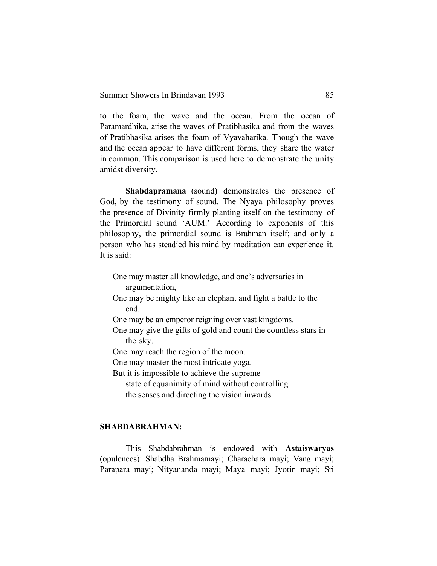to the foam, the wave and the ocean. From the ocean of Paramardhika, arise the waves of Pratibhasika and from the waves of Pratibhasika arises the foam of Vyavaharika. Though the wave and the ocean appear to have different forms, they share the water in common. This comparison is used here to demonstrate the unity amidst diversity.

Shabdapramana (sound) demonstrates the presence of God, by the testimony of sound. The Nyaya philosophy proves the presence of Divinity firmly planting itself on the testimony of the Primordial sound 'AUM.' According to exponents of this philosophy, the primordial sound is Brahman itself; and only a person who has steadied his mind by meditation can experience it. It is said:

- One may master all knowledge, and one's adversaries in argumentation,
- One may be mighty like an elephant and fight a battle to the end.
- One may be an emperor reigning over vast kingdoms.
- One may give the gifts of gold and count the countless stars in the sky.
- One may reach the region of the moon.
- One may master the most intricate yoga.
- But it is impossible to achieve the supreme
	- state of equanimity of mind without controlling
	- the senses and directing the vision inwards.

### SHABDABRAHMAN:

This Shabdabrahman is endowed with Astaiswaryas (opulences): Shabdha Brahmamayi; Charachara mayi; Vang mayi; Parapara mayi; Nityananda mayi; Maya mayi; Jyotir mayi; Sri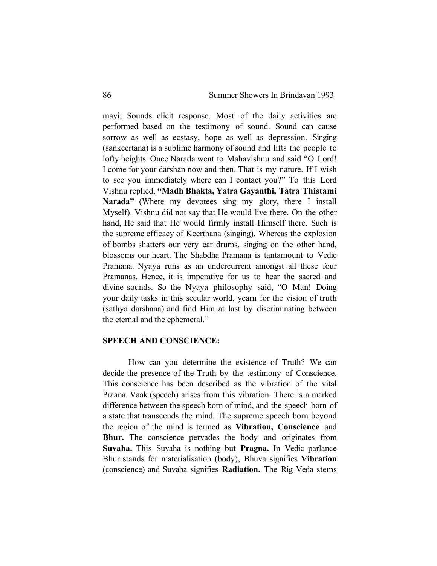mayi; Sounds elicit response. Most of the daily activities are performed based on the testimony of sound. Sound can cause sorrow as well as ecstasy, hope as well as depression. Singing (sankeertana) is a sublime harmony of sound and lifts the people to lofty heights. Once Narada went to Mahavishnu and said "O Lord! I come for your darshan now and then. That is my nature. If I wish to see you immediately where can I contact you?" To this Lord Vishnu replied, "Madh Bhakta, Yatra Gayanthi, Tatra Thistami Narada" (Where my devotees sing my glory, there I install Myself). Vishnu did not say that He would live there. On the other hand, He said that He would firmly install Himself there. Such is the supreme efficacy of Keerthana (singing). Whereas the explosion of bombs shatters our very ear drums, singing on the other hand, blossoms our heart. The Shabdha Pramana is tantamount to Vedic Pramana. Nyaya runs as an undercurrent amongst all these four Pramanas. Hence, it is imperative for us to hear the sacred and divine sounds. So the Nyaya philosophy said, "O Man! Doing your daily tasks in this secular world, yearn for the vision of truth (sathya darshana) and find Him at last by discriminating between the eternal and the ephemeral."

#### SPEECH AND CONSCIENCE:

How can you determine the existence of Truth? We can decide the presence of the Truth by the testimony of Conscience. This conscience has been described as the vibration of the vital Praana. Vaak (speech) arises from this vibration. There is a marked difference between the speech born of mind, and the speech born of a state that transcends the mind. The supreme speech born beyond the region of the mind is termed as Vibration, Conscience and Bhur. The conscience pervades the body and originates from Suvaha. This Suvaha is nothing but Pragna. In Vedic parlance Bhur stands for materialisation (body), Bhuva signifies Vibration (conscience) and Suvaha signifies Radiation. The Rig Veda stems